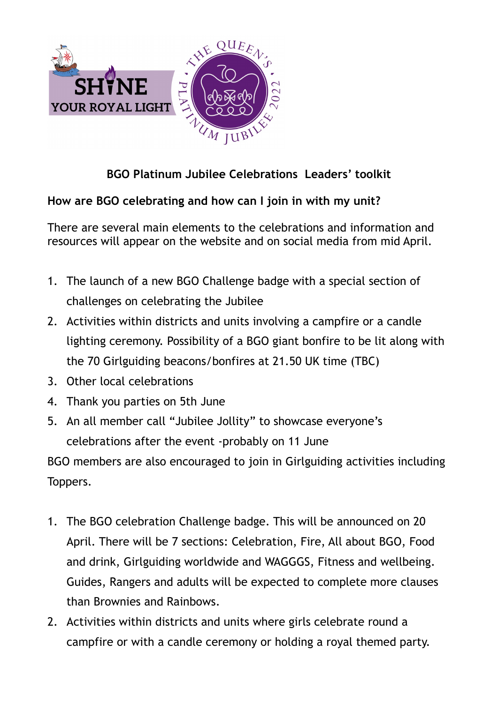

## **BGO Platinum Jubilee Celebrations Leaders' toolkit**

## **How are BGO celebrating and how can I join in with my unit?**

There are several main elements to the celebrations and information and resources will appear on the website and on social media from mid April.

- 1. The launch of a new BGO Challenge badge with a special section of challenges on celebrating the Jubilee
- 2. Activities within districts and units involving a campfire or a candle lighting ceremony. Possibility of a BGO giant bonfire to be lit along with the 70 Girlguiding beacons/bonfires at 21.50 UK time (TBC)
- 3. Other local celebrations
- 4. Thank you parties on 5th June
- 5. An all member call "Jubilee Jollity" to showcase everyone's celebrations after the event -probably on 11 June

BGO members are also encouraged to join in Girlguiding activities including Toppers.

- 1. The BGO celebration Challenge badge. This will be announced on 20 April. There will be 7 sections: Celebration, Fire, All about BGO, Food and drink, Girlguiding worldwide and WAGGGS, Fitness and wellbeing. Guides, Rangers and adults will be expected to complete more clauses than Brownies and Rainbows.
- 2. Activities within districts and units where girls celebrate round a campfire or with a candle ceremony or holding a royal themed party.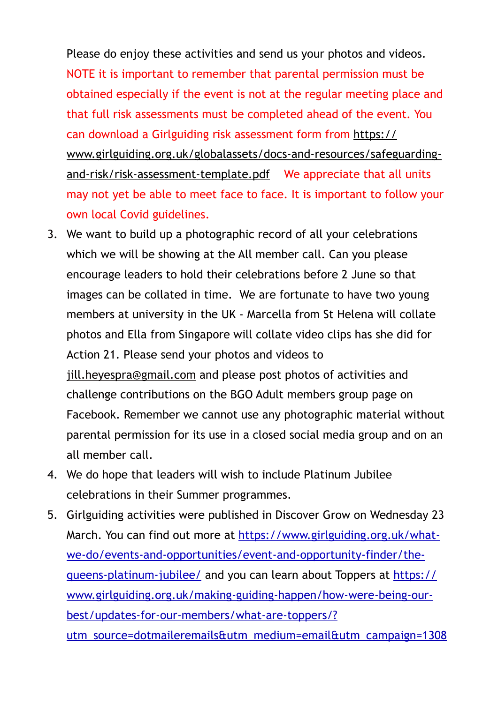Please do enjoy these activities and send us your photos and videos. NOTE it is important to remember that parental permission must be obtained especially if the event is not at the regular meeting place and that full risk assessments must be completed ahead of the event. You can download a Girlguiding risk assessment form from [https://](https://www.girlguiding.org.uk/globalassets/docs-and-resources/safeguarding-and-risk/risk-assessment-template.pdf) [www.girlguiding.org.uk/globalassets/docs-and-resources/safeguarding](https://www.girlguiding.org.uk/globalassets/docs-and-resources/safeguarding-and-risk/risk-assessment-template.pdf)[and-risk/risk-assessment-template.pdf](https://www.girlguiding.org.uk/globalassets/docs-and-resources/safeguarding-and-risk/risk-assessment-template.pdf)  We appreciate that all units may not yet be able to meet face to face. It is important to follow your own local Covid guidelines.

- 3. We want to build up a photographic record of all your celebrations which we will be showing at the All member call. Can you please encourage leaders to hold their celebrations before 2 June so that images can be collated in time. We are fortunate to have two young members at university in the UK - Marcella from St Helena will collate photos and Ella from Singapore will collate video clips has she did for Action 21. Please send your photos and videos to [jill.heyespra@gmail.com](mailto:jill.heyespra@gmail.com) and please post photos of activities and challenge contributions on the BGO Adult members group page on Facebook. Remember we cannot use any photographic material without parental permission for its use in a closed social media group and on an all member call.
- 4. We do hope that leaders will wish to include Platinum Jubilee celebrations in their Summer programmes.
- 5. Girlguiding activities were published in Discover Grow on Wednesday 23 March. You can find out more at [https://www.girlguiding.org.uk/what](https://www.girlguiding.org.uk/what-we-do/events-and-opportunities/event-and-opportunity-finder/the-queens-platinum-jubilee/)[we-do/events-and-opportunities/event-and-opportunity-finder/the](https://www.girlguiding.org.uk/what-we-do/events-and-opportunities/event-and-opportunity-finder/the-queens-platinum-jubilee/)[queens-platinum-jubilee/](https://www.girlguiding.org.uk/what-we-do/events-and-opportunities/event-and-opportunity-finder/the-queens-platinum-jubilee/) and you can learn about Toppers at [https://](https://www.girlguiding.org.uk/making-guiding-happen/how-were-being-our-best/updates-for-our-members/what-are-toppers/?utm_source=dotmaileremails&utm_medium=email&utm_campaign=13086645_Discover%2C%20grow%2023%20March%202022&utm_content=Toppers) [www.girlguiding.org.uk/making-guiding-happen/how-were-being-our](https://www.girlguiding.org.uk/making-guiding-happen/how-were-being-our-best/updates-for-our-members/what-are-toppers/?utm_source=dotmaileremails&utm_medium=email&utm_campaign=13086645_Discover%2C%20grow%2023%20March%202022&utm_content=Toppers)[best/updates-for-our-members/what-are-toppers/?](https://www.girlguiding.org.uk/making-guiding-happen/how-were-being-our-best/updates-for-our-members/what-are-toppers/?utm_source=dotmaileremails&utm_medium=email&utm_campaign=13086645_Discover%2C%20grow%2023%20March%202022&utm_content=Toppers)

[utm\\_source=dotmaileremails&utm\\_medium=email&utm\\_campaign=1308](https://www.girlguiding.org.uk/making-guiding-happen/how-were-being-our-best/updates-for-our-members/what-are-toppers/?utm_source=dotmaileremails&utm_medium=email&utm_campaign=13086645_Discover%2C%20grow%2023%20March%202022&utm_content=Toppers)